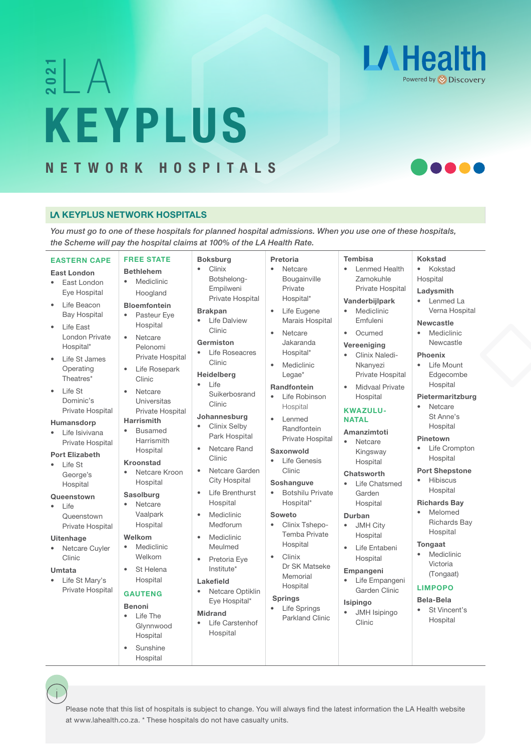# $\frac{2}{2}$   $\bigwedge$ KEYPLUS SLA<br>KEYPLUS<br>NETWORK HOSPITALS



## LA KEYPLUS NETWORK HOSPITALS

*You must go to one of these hospitals for planned hospital admissions. When you use one of these hospitals, the Scheme will pay the hospital claims at 100% of the LA Health Rate.*

| <b>EASTERN CAPE</b>                                                                                                                                                                                                | <b>FREE STATE</b>                                                                                                                                                                                         | <b>Boksburg</b>                                                                                                                                                                                    | Pretoria                                                                                                                                                                                                    | <b>Tembisa</b>                                                                                                                                                                                                                             | <b>Kokstad</b>                                                                                                                                                                                    |
|--------------------------------------------------------------------------------------------------------------------------------------------------------------------------------------------------------------------|-----------------------------------------------------------------------------------------------------------------------------------------------------------------------------------------------------------|----------------------------------------------------------------------------------------------------------------------------------------------------------------------------------------------------|-------------------------------------------------------------------------------------------------------------------------------------------------------------------------------------------------------------|--------------------------------------------------------------------------------------------------------------------------------------------------------------------------------------------------------------------------------------------|---------------------------------------------------------------------------------------------------------------------------------------------------------------------------------------------------|
| <b>East London</b><br>East London<br>$\bullet$<br>Eye Hospital<br>Life Beacon<br>٠<br><b>Bay Hospital</b><br>Life East<br>$\bullet$<br>London Private<br>Hospital*<br>Life St James<br>۰<br>Operating<br>Theatres* | <b>Bethlehem</b><br>Mediclinic<br>$\bullet$<br>Hoogland<br><b>Bloemfontein</b><br>Pasteur Eye<br>Hospital<br>Netcare<br>$\bullet$<br>Pelonomi<br>Private Hospital<br>Life Rosepark<br>$\bullet$<br>Clinic | Clinix<br>Botshelong-<br>Empilweni<br><b>Private Hospital</b><br><b>Brakpan</b><br>Life Dalview<br>Clinic<br>Germiston<br>Life Roseacres<br>$\bullet$<br>Clinic<br>Heidelberg<br>Life<br>$\bullet$ | Netcare<br>$\bullet$<br>Bougainville<br>Private<br>Hospital*<br>Life Eugene<br>Marais Hospital<br>Netcare<br>$\bullet$<br>Jakaranda<br>Hospital*<br>Mediclinic<br>$\bullet$<br>Legae*<br><b>Randfontein</b> | Lenmed Health<br>$\bullet$<br>Zamokuhle<br>Private Hospital<br>Vanderbijlpark<br>Mediclinic<br>Emfuleni<br>Ocumed<br>$\bullet$<br>Vereeniging<br>Clinix Naledi-<br>٠<br>Nkanyezi<br><b>Private Hospital</b><br><b>Midvaal Private</b><br>¢ | Kokstad<br>$\bullet$<br>Hospital<br>Ladysmith<br>Lenmed La<br>Verna Hospital<br><b>Newcastle</b><br>Mediclinic<br>$\bullet$<br>Newcastle<br><b>Phoenix</b><br>Life Mount<br>Edgecombe<br>Hospital |
| Life St<br>$\bullet$<br>Dominic's<br>Private Hospital<br>Humansdorp<br>Life Isivivana<br>$\bullet$<br>Private Hospital<br><b>Port Elizabeth</b><br>Life St<br>$\bullet$<br>George's<br>Hospital                    | Netcare<br>Universitas<br>Private Hospital<br><b>Harrismith</b><br><b>Busamed</b><br>Harrismith<br>Hospital<br><b>Kroonstad</b><br>Netcare Kroon<br>Hospital                                              | Suikerbosrand<br>Clinic<br>Johannesburg<br>Clinix Selby<br>Park Hospital<br>Netcare Rand<br>$\bullet$<br>Clinic<br>Netcare Garden<br><b>City Hospital</b>                                          | Life Robinson<br>$\bullet$<br>Hospital<br>$\bullet$<br>I enmed<br>Randfontein<br>Private Hospital<br>Saxonwold<br>Life Genesis<br>$\bullet$<br>Clinic<br>Soshanguve                                         | Hospital<br><b>KWAZULU-</b><br><b>NATAL</b><br>Amanzimtoti<br>Netcare<br>$\bullet$<br>Kingsway<br>Hospital<br>Chatsworth<br>Life Chatsmed<br>$\bullet$                                                                                     | Pietermaritzburg<br>Netcare<br>$\bullet$<br>St Anne's<br>Hospital<br>Pinetown<br>Life Crompton<br>Hospital<br><b>Port Shepstone</b><br>Hibiscus<br>Hospital                                       |
| Queenstown<br>Life<br>۰<br>Queenstown<br>Private Hospital                                                                                                                                                          | <b>Sasolburg</b><br>Netcare<br>Vaalpark<br>Hospital                                                                                                                                                       | Life Brenthurst<br>$\bullet$<br>Hospital<br>Mediclinic<br>$\bullet$<br>Medforum                                                                                                                    | <b>Botshilu Private</b><br>$\bullet$<br>Hospital*<br>Soweto<br>$\bullet$<br>Clinix Tshepo-<br><b>Temba Private</b>                                                                                          | Garden<br>Hospital<br>Durban<br><b>JMH City</b><br>$\bullet$<br>Hospital                                                                                                                                                                   | <b>Richards Bay</b><br>Melomed<br><b>Richards Bay</b><br>Hospital                                                                                                                                 |
| <b>Uitenhage</b><br>Netcare Cuyler<br>$\bullet$<br>Clinic<br>Umtata<br>Life St Mary's                                                                                                                              | Welkom<br>Mediclinic<br>Welkom<br>St Helena<br>$\bullet$<br>Hospital                                                                                                                                      | Mediclinic<br>$\bullet$<br>Meulmed<br>Pretoria Eye<br>$\bullet$<br>Institute*<br>Lakefield                                                                                                         | Hospital<br>Clinix<br>$\bullet$<br>Dr SK Matseke<br>Memorial                                                                                                                                                | $\bullet$<br>Life Entabeni<br>Hospital<br>Empangeni<br>Life Empangeni                                                                                                                                                                      | Tongaat<br>Mediclinic<br>Victoria<br>(Tongaat)                                                                                                                                                    |

- Life St Mary's Private Hospital
- Hospital

## GAUTENG

- Benoni • Life The
- Glynnwood Hospital
- Sunshine Hospital

## Lakefield

- Netcare Optiklin Eye Hospital\*
- Midrand
	- **Life Carstenhof** Hospital
- 

## • Life Springs

Parkland Clinic Isipingo

## LIMPOPO

- Bela-Bela
- St Vincent's Hospital

Please note that this list of hospitals is subject to change. You will always find the latest information the LA Health website at www.lahealth.co.za. \* These hospitals do not have casualty units.

# Hospital

## Springs

• JMH Isipingo Clinic

Garden Clinic